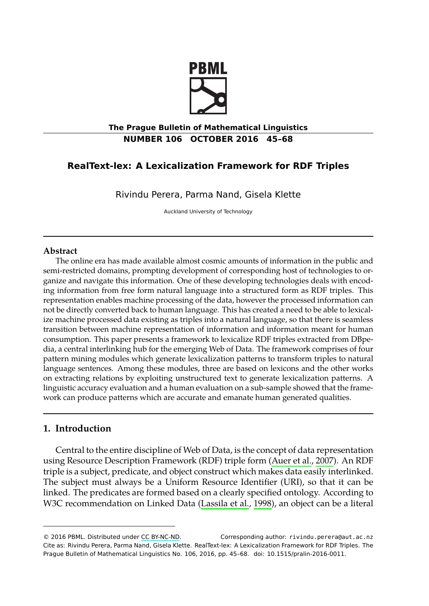

## **The Prague Bulletin of Mathematical Linguistics NUMBER 106 OCTOBER 2016 45–68**

# **RealText-lex: A Lexicalization Framework for RDF Triples**

Rivindu Perera, Parma Nand, Gisela Klette

Auckland University of Technology

#### **Abstract**

<span id="page-0-0"></span>The online era has made available almost cosmic amounts of information in the public and semi-restricted domains, prompting development of corresponding host of technologies to organize and navigate this information. One of these developing technologies deals with encoding information from free form natural language into a structured form as RDF triples. This representation enables machine processing of the data, however the processed information can not be directly converted back to human language. This has created a need to be able to lexicalize machine processed data existing as triples into a natural language, so that there is seamless transition between machine representation of information and information meant for human consumption. This paper presents a framework to lexicalize RDF triples extracted from DBpedia, a central interlinking hub for the emerging Web of Data. The framework comprises of four pattern mining modules which generate lexicalization patterns t[o transform triples](#page-21-0) to natural language sentences. Among these modules, three are based on lexicons and the other works on extracting relations by exploiting unstructured text to generate lexicalization patterns. A linguistic accuracy evaluation and a human evaluation on a sub-sample showed that the framework can produce patterns which are accura[te and emanat](#page-22-0)e [hum](#page-22-0)an generated qualities.

# **1. Introduction**

Central to the entire discipline of Web of Data, is the concept of data representation using Resource Description Framework (RDF) triple form (Auer et al., 2007). An RDF triple is a subject, predicate, and object construct which makes data easily interlinked. The subject must always be a Uniform Resource Identifier (URI), so that it can be linked. The predicates are formed based on a clearly specified ontology. According to W3C recommendation on Linked Data (Lassila et al., 1998), an object can be a literal

<sup>© 2016</sup> PBML. Distributed under CC BY-NC-ND. Corresponding author: rivindu.perera@aut.ac.nz Cite as: Rivindu Perera, Parma Nand, Gisela Klette. RealText-lex: A Lexicalization Framework for RDF Triples. The Prague Bulletin of Mathematical Linguistics No. 106, 2016, pp. 45–68. doi: 10.1515/pralin-2016-0011.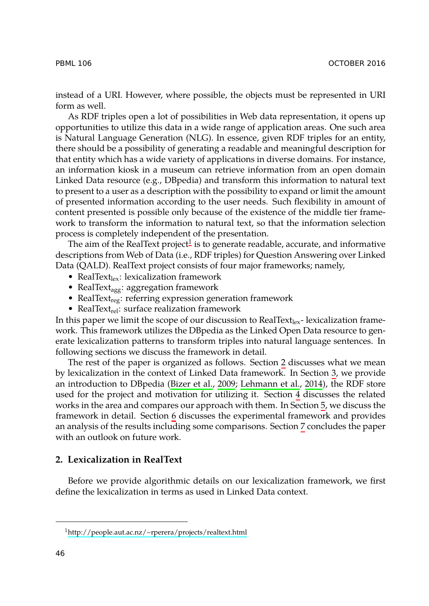instead of a URI. However, where possible, the objects must be represented in URI form as well.

As RDF triples open a lot of possibilities in Web data representation, it opens up opportunities to utilize this data in a wide range of application areas. One such area is Natural Language Generation [\(N](#page-1-0)LG). In essence, given RDF triples for an entity, there should be a possibility of generating a readable and meaningful description for that entity which has a wide variety of applications in diverse domains. For instance, an information kiosk in a museum can retrieve information from an open domain Linked Data resource (e.g., DBpedia) and transform this information to natural text to present to a user as a description with the possibility to expand or limit the amount of presented information according to the user needs. Such flexibility in amount of content presented is possible only because of the existence of the middle tier framework to transform the information to natural text, so that the information selection process is completely independent of the presentation.

The aim of the RealText project $^1$  is to generate readable, accurate, and informative descriptions from Web of Data (i.e., RDF triples) for Question Answering over Linked Data (QALD). RealText project consists of four major fra[me](#page-1-1)works; na[mel](#page-2-0)y,

- RealText $_{lex}$ : lexicalization framewor[k](#page-21-1)
- RealText<sub>agg</sub>: aggregatio[n framewor](#page-21-1)k
- RealText<sub>reg</sub>: referring expression generation framework
- RealText<sub>rel</sub>: surface realization framework

In this pa[pe](#page-17-0)r we limit the scope of our discussion to RealText<sub>lex</sub>- lexicalization framework. This framework utilizes the DBpedia as the Linked Ope[n D](#page-21-2)ata resource to generate lexicalization patterns to transform triples into natural language sentences. In following sections we discuss the framework in detail.

<span id="page-1-1"></span>The rest of the paper is organized as follows. Section 2 discusses what we mean by lexicalization in the context of Linked Data framework. In Section 3, we provide an introduction to DBpedia (Bizer et al., 2009; Lehmann et al., 2014), the RDF store used for the project and motivation for utilizing it. Section 4 discusses the related works in the area and compares our approach with them. In Section 5, we discuss the framework in detail. Section 6 discusses the experimental framework and provides an [analysis of the results including some compari](http://people.aut.ac.nz/~rperera/projects/realtext.html)sons. Section 7 concludes the paper with an outlook on future work.

# <span id="page-1-0"></span>**2. Lexicalization in RealText**

Before we provide algorithmic details on our lexicalization framework, we first define the lexicalization in terms as used in Linked Data context.

<sup>1</sup>http://people.aut.ac.nz/~rperera/projects/realtext.html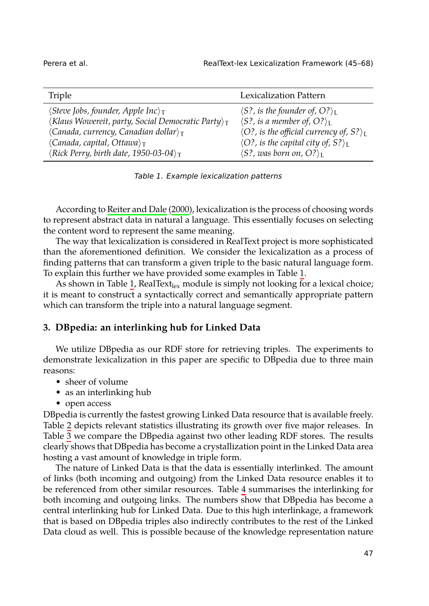| Triple                                                               | Lexicalization Pattern                                     |
|----------------------------------------------------------------------|------------------------------------------------------------|
| $\langle$ Steve Jobs, founder, Apple Inc $\rangle_{\mathsf{T}}$      | $\langle S$ ?, is the founder of, O? $\rangle_L$           |
| $\langle$ Klaus Wowereit, party, Social Democratic Party $\rangle_T$ | $\langle S$ ?, is a member of, O? $\rangle_L$              |
| $\langle$ Canada, currency, Canadian dollar $\rangle_T$              | $\langle O$ ?, is the official currency of, S? $\rangle_L$ |
| $\langle Canada, capital, Ottawa \rangle_T$                          | $\langle O$ ?, is the capital city of, S? $\rangle_L$      |
| $\langle Rick$ Perry, birth date, 1950-03-04 $\rangle_T$             | $\langle S$ ?, was born on, O? $\rangle_I$                 |

*Table 1. Example lexicalization patterns*

According to Reiter and Dale (2000), lexicalization is the process of choosing words to represent abstract data in natural a language. This essentially focuses on selecting the content word to represent the same meaning.

<span id="page-2-0"></span>The way that lexicalization is considered in RealText project is more sophisticated than the aforementioned definition. We consider the lexicalization as a process of finding patterns that can transform a given triple to the basic natural language form. To explain this further we have provided some examples in Table 1.

As shown in Table 1, RealText $_{\text{lex}}$  module is simply not looking for a lexical choice; it is meant to construct a syntactically correct and semantically appropriate pattern which can transform the triple into a natural language segment.

## **3. D[Bp](#page-3-0)edia: an interlinking hub for Linked Data**

We utilize DBpedia as our RDF store for retrieving triples. The experiments to demonstrate lexicalization in this paper are specific to DBpedia due to three main reasons:

- sheer of volume
- as an interlinking hub
- open access

DBpedia is currently the fastest growing Linked Data resource that is available freely. Table 2 depicts relevant statistics illustrating its growth over five major releases. In Table 3 we compare the DBpedia against two other leading RDF stores. The results clearly shows that DBpedia has become a crystallization point in the Linked Data area hosting a vast amount of knowledge in triple form.

The nature of Linked Data is that the data is essentially interlinked. The amount of links (both incoming and outgoing) from the Linked Data resource enables it to be referenced from other similar resources. Table 4 summarises the interlinking for both incoming and outgoing links. The numbers show that DBpedia has become a central interlinking hub for Linked Data. Due to this high interlinkage, a framework that is based on DBpedia triples also indirectly contributes to the rest of the Linked Data cloud as well. This is possible because of the knowledge representation nature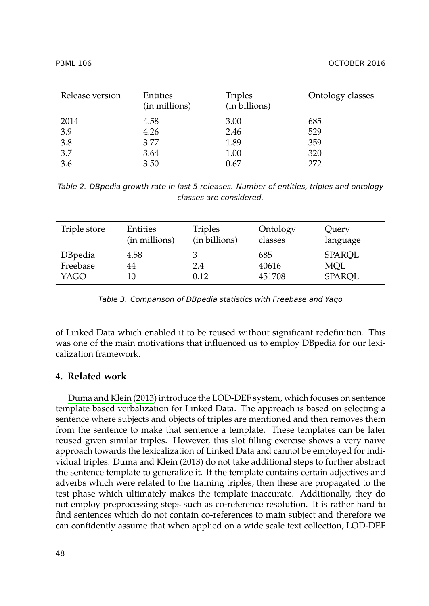<span id="page-3-0"></span>

| Release version | Entities<br>(in millions) | <b>Triples</b><br>(in billions) | Ontology classes |
|-----------------|---------------------------|---------------------------------|------------------|
| 2014            | 4.58                      | 3.00                            | 685              |
| 3.9             | 4.26                      | 2.46                            | 529              |
| 3.8             | 3.77                      | 1.89                            | 359              |
| 3.7             | 3.64                      | 1.00                            | 320              |
| 3.6             | 3.50                      | 0.67                            | 272              |

<span id="page-3-1"></span>*Table 2. DBpedia growth rate in last 5 releases. Number of entities, triples and ontology classes are considered.*

<span id="page-3-2"></span>

| Triple store                       | Entities      | Triples          | Ontology               | Query                          |
|------------------------------------|---------------|------------------|------------------------|--------------------------------|
|                                    | (in millions) | (in billions)    | classes                | language                       |
| <b>DBpedia</b><br>Freebase<br>YAGO | 4.58<br>44    | 3<br>2.4<br>0.12 | 685<br>40616<br>451708 | SPAROL<br>MOL<br><b>SPAROL</b> |

*[Table 3.](#page-22-1) C[ompa](#page-22-1)rison of DBpedia statistics with Freebase and Yago*

of Linked Data which enabled it to be reused without significant redefinition. This was one of the main motivations that influenced us to employ DBpedia for our lexicalization fra[mework.](#page-22-1)

# **4. Related work**

Duma and Klein (2013) introduce the LOD-DEF system, which focuses on sentence template based verbalization for Linked Data. The approach is based on selecting a sentence where subjects and objects of triples are mentioned and then removes them from the sentence to make that sentence a template. These templates can be later reused given similar triples. However, this slot filling exercise shows a very naive approach towards the lexicalization of Linked Data and cannot be employed for individual triples. Duma and Klein (2013) do not take additional steps to further abstract the sentence template to generalize it. If the template contains certain adjectives and adverbs which were related to the training triples, then these are propagated to the test phase which ultimately makes the template inaccurate. Additionally, they do not employ preprocessing steps such as co-reference resolution. It is rather hard to find sentences which do not contain co-references to main subject and therefore we can confidently assume that when applied on a wide scale text collection, LOD-DEF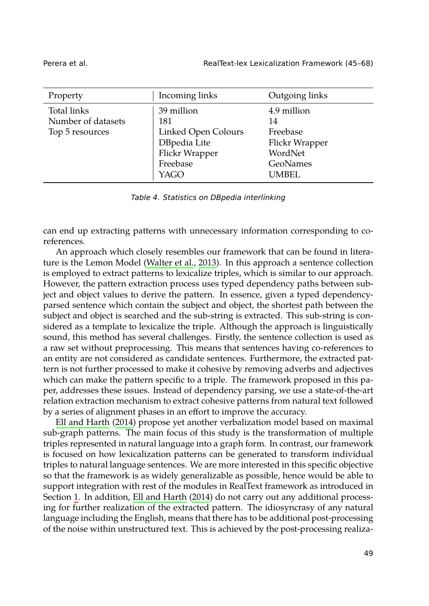| Property                                             | Incoming links                                                                                 | Outgoing links                                                                  |
|------------------------------------------------------|------------------------------------------------------------------------------------------------|---------------------------------------------------------------------------------|
| Total links<br>Number of datasets<br>Top 5 resources | 39 million<br>181<br>Linked Open Colours<br>DBpedia Lite<br>Flickr Wrapper<br>Freebase<br>YAGO | 4.9 million<br>14<br>Freebase<br>Flickr Wrapper<br>WordNet<br>GeoNames<br>UMBEL |

*Table 4. Statistics on DBpedia interlinking*

can end up extracting patterns with unnecessary information corresponding to coreferences.

An approach which closely resembles our framework that can be found in literature is the Lemon Model (Walter et al., 2013). In this approach a sentence collection is employed to extract patterns to lexicalize triples, which is similar to our approach. However, the pattern extraction process uses typed dependency paths between subject and object values to derive the pattern. In essence, given a typed dependencyparsed sentence which contain the subject and object, the shortest path between the subject and object is searched and the sub-string is extracted. This sub-string is consid[ered as a temp](#page-22-2)l[ate to](#page-22-2) lexicalize the triple. Although the approach is linguistically sound, this method has several challenges. Firstly, the sentence collection is used as a raw set without preprocessing. This means that sentences having co-references to an entity are not considered as candidate sentences. Furthermore, the extracted pattern is not further processed to make it cohesive by removing adverbs and adjectives which can make the pattern specific to a triple. The framework proposed in this paper, addresses these issues. Instead of dependency parsing, we use a state-of-the-art relation [e](#page-0-0)xtraction mec[hanism to extract co](#page-22-2)hesive patterns from natural text followed by a series of alignment phases in an effort to improve the accuracy.

Ell and Harth (2014) propose yet another verbalization model based on maximal sub-graph patterns. The main focus of this study is the transformation of multiple triples represented in natural language into a graph form. In contrast, our framework is focused on how lexicalization patterns can be generated to transform individual triples to natural language sentences. We are more interested in this specific objective so that the framework is as widely generalizable as possible, hence would be able to support integration with rest of the modules in RealText framework as introduced in Section 1. In addition, Ell and Harth (2014) do not carry out any additional processing for further realization of the extracted pattern. The idiosyncrasy of any natural language including the English, means that there has to be additional post-processing of the noise within unstructured text. This is achieved by the post-processing realiza-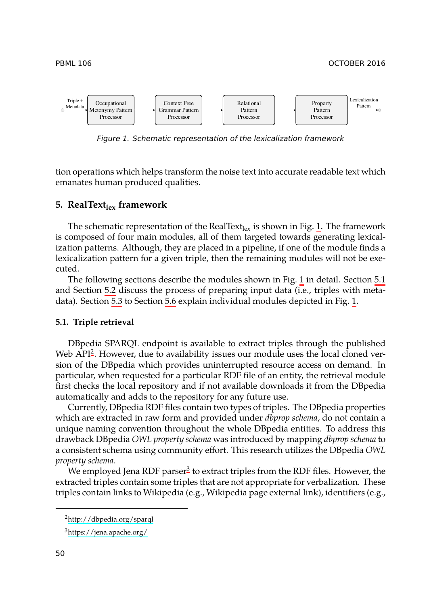<span id="page-5-0"></span>



*Figure 1. Schematic representation of the lexicalization framework*

tion operations which helps transform the noise text into accur[ate](#page-5-0) readable text wh[ich](#page-5-1) emanates h[uma](#page-6-0)n produced qualities.

## **5. RealTextlex [fr](#page-8-0)amewor[k](#page-16-0)**

<span id="page-5-1"></span>The schematic representation of the RealText<sub>lex</sub> is shown in Fig. 1. The framework is composed of four main modules, all of them targeted towards generating lexicalization p[a](#page-5-2)tterns. Although, they are placed in a pipeline, if one of the module finds a lexicalization pattern for a given triple, then the remaining modules will not be executed.

The following sections describe the modules shown in Fig. 1 in detail. Section 5.1 and Section 5.2 discuss the process of preparing input data (i.e., triples with metadata). Section 5.3 to Section 5.6 explain individual modules depicted in Fig. 1.

#### **5.1. Triple retrieval**

DBpedia SPARQL endpoint is available to extract triples through the published Web API<sup>2</sup>. However, due to availability issues our module uses the local cloned version of the DBpedia which provi[d](#page-5-3)es uninterrupted resource access on demand. In particular, when requested for a particular RDF file of an entity, the retrieval module first checks the local repository and if not available downloads it from the DBpedia automatically and adds to the repository for any future use.

<span id="page-5-3"></span><span id="page-5-2"></span>Currently, DBpedia RDF files contain two types of triples. The DBpedia properties w[hich are extracted in raw](http://dbpedia.org/sparql) form and provided under *dbprop schema*, do not contain a un[ique naming convent](https://jena.apache.org/)ion throughout the whole DBpedia entities. To address this drawback DBpedia *OWL property schema* was introduced by mapping *dbprop schema* to a consistent schema using community effort. This research utilizes the DBpedia *OWL property schema*.

We employed Jena RDF parser<sup>3</sup> to extract triples from the RDF files. However, the extracted triples contain some triples that are not appropriate for verbalization. These triples contain links to Wikipedia (e.g., Wikipedia page external link), identifiers (e.g.,

<sup>2</sup>http://dbpedia.org/sparql

<sup>3</sup>https://jena.apache.org/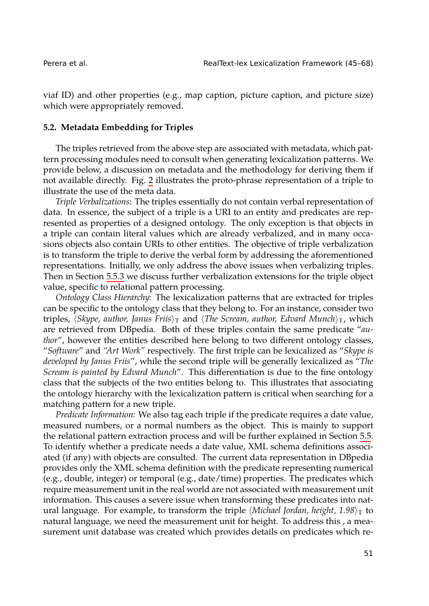<span id="page-6-0"></span>

viaf ID) and other properties (e.g., map caption, picture caption, and picture size) which were appropriately removed.

#### **5.2. Metadata Embedding for Triples**

The triples retrieved from the above step are associated with metadata, which pattern processing modules need to consult when generating lexicalization patterns. We provide below, a discussion on metadata and the methodology for deriving them if not available di[rectly](#page-13-0). Fig. 2 illustrates the proto-phrase representation of a triple to illustrate the use of the meta data.

*Triple Verbalizations*: The triples essentially do not contain verbal representation of data. In essence, the subject of a triple is a URI to an entity and predicates are represented as properties of a designed ontology. The only exception is that objects in a triple can contain literal values which are already verbalized, and in many occasions objects also contain URIs to other entities. The objective of triple verbalization is to transform the triple to derive the verbal form by addressing the aforementioned representations. Initially, we only address the above issues when verbalizing triples. Then in Section 5.5.3 we discuss further verbalization extensions for the triple object value, specific to relational pattern processing.

*Ontology Class Hierarchy:* The lexicalization patterns that are extracted for triples can be specific to the ontology class that they belong to. For an instance, consider two triples, *⟨Skype, author, Janus Friis⟩*<sup>T</sup> and *⟨The Scream, author, Edvard Munch⟩*<sup>T</sup> , which are retrieved from DBpedia. Both of these triples contain the same predicate "*author*", however the entities described here belong to two different ontology clas[ses](#page-11-0), "*Software*" and *"Art Work"* respectively. The first triple can be lexicalized as "*Skype is developed by Janus Friis*", while the second triple will be generally lexicalized as "*The Scream is painted by Edvard Munch*". This differentiation is due to the fine ontology class that the subjects of the two entities belong to. This illustrates that associating the ontology hierarchy with the lexicalization pattern is critical when searching for a matching pattern for a new triple.

*Predicate Information:* We also tag each triple if the predicate requires a date value, measured numbers, or a normal numbers as the object. This is mainly to support the relational pattern extraction process and will be further explained in Section 5.5. To identify whether a predicate needs a date value, XML schema definitions associated (if any) with objects are consulted. The current data representation in DBpedia provides only the XML schema definition with the predicate representing numerical (e.g., double, integer) or temporal (e.g., date/time) properties. The predicates which require measurement unit in the real world are not associated with measurement unit information. This causes a severe issue when transforming these predicates into natural language. For example, to transform the triple  $\langle Michael Jordan, height, 1.98 \rangle$  to natural language, we need the measurement unit for height. To address this , a measurement unit database was created which provides details on predicates which re-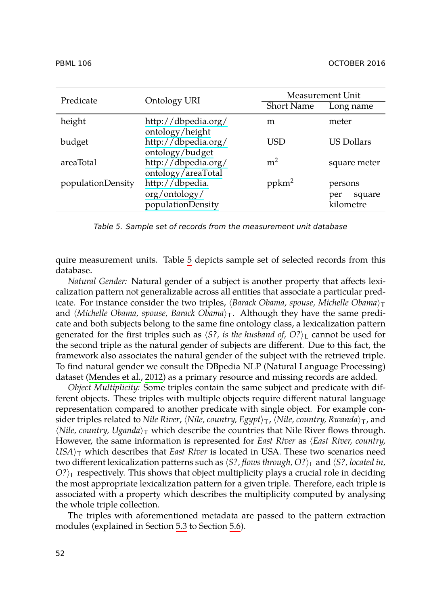<span id="page-7-0"></span>

| Predicate         | Ontology URI                                          | Measurement Unit  |                                       |
|-------------------|-------------------------------------------------------|-------------------|---------------------------------------|
|                   |                                                       | <b>Short Name</b> | Long name                             |
| height            | http://dbpedia.org/<br>ontology/height                | m                 | meter                                 |
| budget            | http://dbpedia.org/<br>ontology/budget                | USD               | <b>US Dollars</b>                     |
| areaTotal         | http://dbpedia.org/<br>ontology/areaTotal             | m <sup>2</sup>    | square meter                          |
| populationDensity | http://dbpedia.<br>org/ontology/<br>populationDensity | $ppkm^2$          | persons<br>square<br>per<br>kilometre |

*Table 5. Sample set of records from the measurement unit database*

quire measurement units. Table 5 depicts sample set of selected records from this database.

*Natu[ral Gender:](#page-23-2)* Na[tural](#page-23-2) gender of a subject is another property that affects lexicalization pattern not generalizable across all entities that associate a particular predicate. For instance consider the two triples,  $\langle$ *Barack Obama*, *spouse*, *Michelle Obama* $\rangle_T$ and  $\langle$ *Michelle Obama, spouse, Barack Obama* $\rangle_T$ . Although they have the same predicate and both subjects belong to the same fine ontology class, a lexicalization pattern generated for the first triples such as  $\langle S$ ?, is the husband of,  $O$ ? $\rangle_L$  cannot be used for the second triple as the natural gender of subjects are different. Due to this fact, the framework also associates the natural gender of the subject with the retrieved triple. To find natural gender we consult the DBpedia NLP (Natural Language Processing) dataset (Mendes et al., 2012) as a primary resource and missing records are added.

*Object Multiplicity:* Some triples contain the same subject and predicate with different objects. These triples with multiple objects require different natural language representation compared to another predicate with single object. For example consider triples related to *Nile River*, *⟨Nile, country, Egypt⟩*<sup>T</sup> , *⟨Nile, country, Rwanda⟩*<sup>T</sup> , and  $\langle$ *Nile, [cou](#page-16-0)ntry, Uganda* $\rangle$ <sub>T</sub> which [de](#page-8-0)scribe the countries that Nile River flows through. However, the same information is represented for *East River* as *⟨East River, country,*  $USA$ <sub>*T*</sub> which describes that *East River* is located in USA. These two scenarios need two different lexicalization patterns such as *⟨S?, flows through, O?⟩*<sup>L</sup> and *⟨S?, located in, O*?<sup> $\angle$ </sup>L respectively. This shows that object multiplicity plays a crucial role in deciding the most appropriate lexicalization pattern for a given triple. Therefore, each triple is associated with a property which describes the multiplicity computed by analysing the whole triple collection.

The triples with aforementioned metadata are passed to the pattern extraction modules (explained in Section 5.3 to Section 5.6).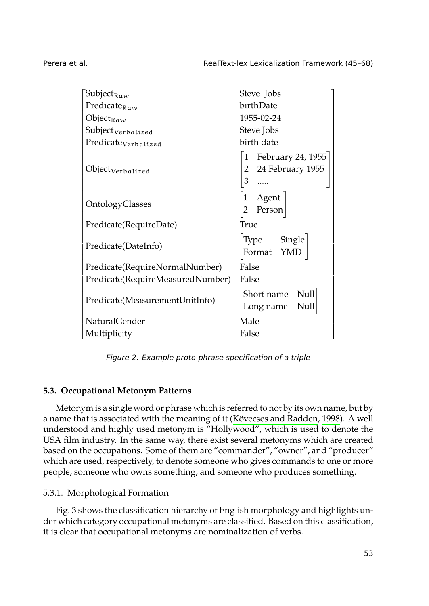1  $\overline{1}$  $\overline{1}$  $\overline{1}$  $\perp$  $\mathbf{I}$  $\overline{1}$  $\overline{1}$  $\overline{1}$  $\overline{1}$  $\overline{1}$  $\overline{1}$  $\overline{1}$  $\overline{1}$  $\overline{1}$  $\overline{1}$  $\overline{1}$  $\overline{1}$  $\overline{1}$  $\overline{1}$  $\perp$  $\mathbf{I}$  $\overline{1}$  $\overline{1}$  $\overline{1}$  $\overline{1}$  $\overline{1}$  $\overline{1}$  $\overline{1}$  $\overline{1}$  $\overline{1}$  $\overline{1}$  $\overline{1}$  $\overline{1}$  $\overline{1}$  $\overline{1}$  $\overline{1}$  $\perp$  $\mathbf{I}$  $\overline{1}$  $\overline{1}$  $\overline{1}$  $\overline{1}$ 

| Subject $_{\rm Raw}$             | Steve_Jobs                                   |
|----------------------------------|----------------------------------------------|
| Predicate <sub>Raw</sub>         | birthDate                                    |
| Object $_{\rm Raw}$              | 1955-02-24                                   |
| $Subject_{Verbalized}$           | Steve Jobs                                   |
| Predicate <sub>Verbalized</sub>  | birth date                                   |
| Object <sub>Verbalized</sub>     | February 24, 1955<br>2 24 February 1955<br>3 |
| OntologyClasses                  | 1 Agent<br>Person                            |
| Predicate(RequireDate)           | True                                         |
| Predicate(DateInfo)              | Type Single<br>Format YMD                    |
| Predicate(RequireNormalNumber)   | False                                        |
| Predicate(RequireMeasuredNumber) | False                                        |
| Predicate(MeasurementUnitInfo)   | Short name Null<br>Null<br>Long name         |
| NaturalGender                    | Male                                         |
| Multiplicity                     | False                                        |

<span id="page-8-0"></span>*Figure 2. Example proto-phrase specification of a triple*

## **5.3. Occupational Metonym Patterns**

Met[on](#page-9-0)ym is a single word or phrase which is referred to not by its own name, but by a name that is associated with the meaning of it (Kövecses and Radden, 1998). A well understood and highly used metonym is "Hollywood", which is used to denote the USA film industry. In the same way, there exist several metonyms which are created based on the occupations. Some of them are "commander", "owner", and "producer" which are used, respectively, to denote someone who gives commands to one or more people, someone who owns something, and someone who produces something.

# 5.3.1. Morphological Formation

Fig. 3 shows the classification hierarchy of English morphology and highlights under which category occupational metonyms are classified. Based on this classification, it is clear that occupational metonyms are nominalization of verbs.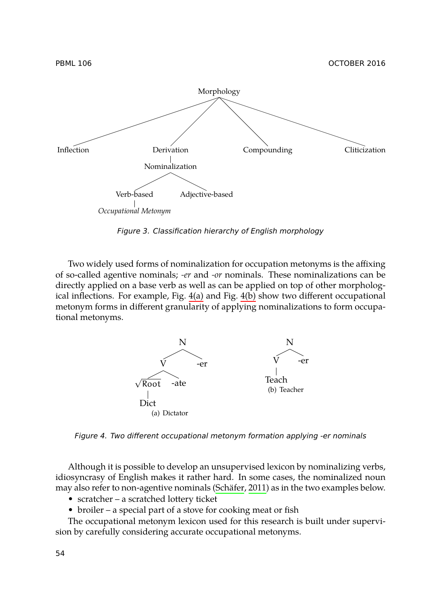

<span id="page-9-0"></span>*Figure 3. Classification hierarchy of English morphology*

<span id="page-9-1"></span>Two widely used forms of nominalization for occupation metonyms is the affixing of so-called agentive nominals; *-er* and *-or* nominals. These nominalizations can be directly applied on a base verb as well as can be applied on top of other morphological inflections. For example, Fig. 4(a) and Fig. 4(b) show two different occupational metonym forms in different granularity of applying nominalizations to form occupational metonyms.



*Figure 4. Two different occupational metonym formation applying -er nominals*

Although it is possible to develop an unsupervised lexicon by nominalizing verbs, idiosyncrasy of English makes it rather hard. In some cases, the nominalized noun may also refer to non-agentive nominals (Schäfer, 2011) as in the two examples below.

- scratcher a scratched lottery ticket
- broiler a special part of a stove for cooking meat or fish

The occupational metonym lexicon used for this research is built under supervision by carefully considering accurate occupational metonyms.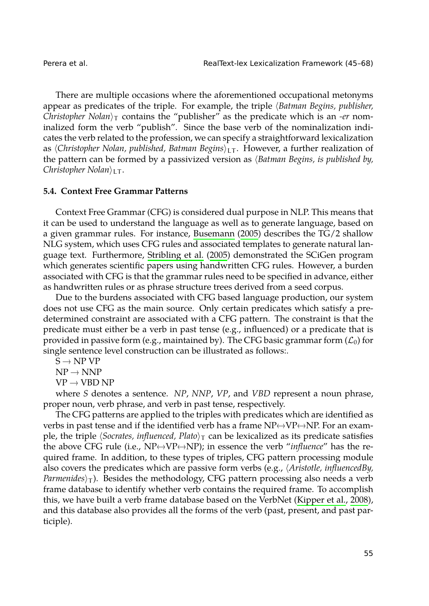There are multiple occasions where the aforementioned occupational metonyms appear as predicates of the triple. For example, the triple *⟨Batman Begins, publisher, Christopher Nolan⟩*<sup>T</sup> contains the "publisher" as the predicate which is an *-er* nominalized form the verb "publish". Since the base verb of the nominalization indicates the verb related to the profession, [we can spe](#page-21-3)c[ify a](#page-21-3) straightforward lexicalization as *⟨Christopher Nolan, published, Batman Begins⟩*LT . However, a further realization of the pattern can be formed [by a passivize](#page-23-4)d [vers](#page-23-4)ion as *⟨Batman Begins, is published by, Christopher Nolan⟩*LT .

## **5.4. Context Free Grammar Patterns**

Context Free Grammar (CFG) is considered dual purpose in NLP. This means that it can be used to understand the language as well as to generate language, based on a given grammar rules. For instance, Busemann (2005) describes the TG/2 shallow NLG system, which uses CFG rules and associated templates to generate natural language text. Furthermore, Stribling et al. (2005) demonstrated the SCiGen program which generates scientific papers using handwritten CFG rules. However, a burden associated with CFG is that the grammar rules need to be specified in advance, either as handwritten rules or as phrase structure trees derived from a seed corpus.

Due to the burdens associated with CFG based language production, our system does not use CFG as the main source. Only certain predicates which satisfy a predetermined constraint are associated with a CFG pattern. The constraint is that the predicate must either be a verb in past tense (e.g., influenced) or a predicate that is provided in passive form (e.g., maintained by). The CFG basic grammar form  $(\mathcal{L}_0)$  for single sentence level construction can be illustrated as follows:.

 $S \rightarrow NP VP$ 

 $NP \rightarrow NNP$ 

 $VP \rightarrow VBD NP$ 

where *S* denotes a sentence. *NP*, *NNP*, *VP*, and *VBD* repre[sent a noun phrase](#page-22-4), proper noun, verb phrase, and verb in past tense, respectively.

The CFG patterns are applied to the triples with predicates which are identified as verbs in past tense and if the identified verb has a frame  $NP \leftrightarrow VP \leftrightarrow NP$ . For an example, the triple  $\langle$ *Socrates, influenced, Plato* $\rangle_T$  can be lexicalized as its predicate satisfies the above CFG rule (i.e.,  $NP \leftrightarrow VP \leftrightarrow NP$ ); in essence the verb "*influence*" has the required frame. In addition, to these types of triples, CFG pattern processing module also covers the predicates which are passive form verbs (e.g., *⟨Aristotle, influencedBy, Parmenides* $\rangle_T$ ). Besides the methodology, CFG pattern processing also needs a verb frame database to identify whether verb contains the required frame. To accomplish this, we have built a verb frame database based on the VerbNet (Kipper et al., 2008), and this database also provides all the forms of the verb (past, present, and past participle).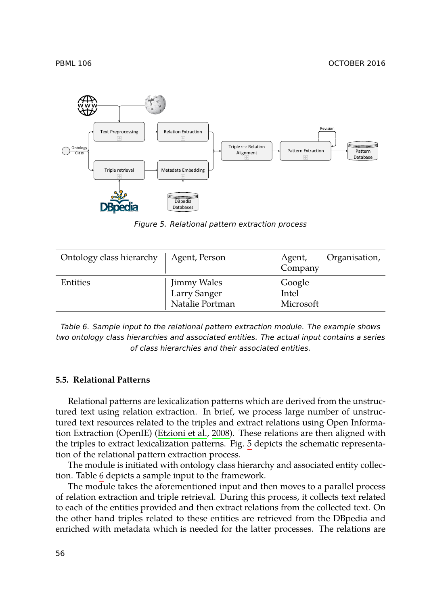

<span id="page-11-2"></span><span id="page-11-1"></span>*Figure 5. Relational pattern extraction process*

<span id="page-11-0"></span>

| Ontology class hierarchy   Agent, Person |                                                | Agent,<br>Company            | Organisation, |
|------------------------------------------|------------------------------------------------|------------------------------|---------------|
| Entities                                 | Jimmy Wales<br>Larry Sanger<br>Natalie Portman | Google<br>Intel<br>Microsoft |               |

*Table 6. Sample input to the relational pattern extraction module. The example shows two ontology class hierarch[ies and associated e](#page-22-5)ntities. The actual input contains a series of class hierarchies and their a[sso](#page-11-1)ciated entities.*

## **5.5. Relati[on](#page-11-2)al Patterns**

Relational patterns are lexicalization patterns which are derived from the unstructured text using relation extraction. In brief, we process large number of unstructured text resources related to the triples and extract relations using Open Information Extraction (OpenIE) (Etzioni et al., 2008). These relations are then aligned with the triples to extract lexicalization patterns. Fig. 5 depicts the schematic representation of the relational pattern extraction process.

The module is initiated with ontology class hierarchy and associated entity collection. Table 6 depicts a sample input to the framework.

The module takes the aforementioned input and then moves to a parallel process of relation extraction and triple retrieval. During this process, it collects text related to each of the entities provided and then extract relations from the collected text. On the other hand triples related to these entities are retrieved from the DBpedia and enriched with metadata which is needed for the latter processes. The relations are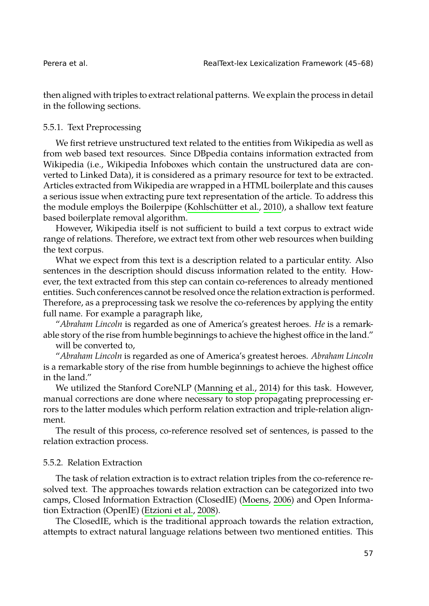then aligned with triples to extract relational patterns. We explain the process in detail in the following sections.

#### 5.5.1. Text Preprocessing

We first retrieve unstructured text related to the entities from Wikipedia as well as from web based text resources. Since DBpedia contains information extracted from Wikipedia (i.e., Wikipedia Infoboxes which contain the unstructured data are converted to Linked Data), it is considered as a primary resource for text to be extracted. Articles extracted from Wikipedia are wrapped in a HTML boilerplate and this causes a serious issue when extracting pure text representation of the article. To address this the module employs the Boilerpipe (Kohlschütter et al., 2010), a shallow text feature based boilerplate removal algorithm.

However, Wikipedia itself is not sufficient to build a text corpus to extract wide range of relations. Therefore, we extract text from other web resources when building the text corpus.

What we expect from this text is a description related to a particular entity. Also sentences in the description should discuss information related to the entity. However, the text extracted from this step can contain co-references to already mentioned entities. Such conferences cannot be res[olved once the relation](#page-22-6) extraction is performed. Therefore, as a preprocessing task we resolve the co-references by applying the entity full name. For example a paragraph like,

"*Abraham Lincoln* is regarded as one of America's greatest heroes. *He* is a remarkable story of the rise from humble beginnings to achieve the highest office in the land." will be converted to,

"*Abraham Lincoln* is regarded as one of America's greatest heroes. *Abraham Lincoln* is a remarkable story of the rise from humble beginnings to achieve the highest office in the land."

We utilized the Stanford CoreNLP (Manning et al., 2014) for this task. However, manual corrections are done where necessary to s[top propagati](#page-23-5)ng preprocessing errors to the latter modules [which perform rela](#page-22-5)tion extraction and triple-relation alignment.

The result of this process, co-reference resolved set of sentences, is passed to the relation extraction process.

#### 5.5.2. Relation Extraction

The task of relation extraction is to extract relation triples from the co-reference resolved text. The approaches towards relation extraction can be categorized into two camps, Closed Information Extraction (ClosedIE) (Moens, 2006) and Open Information Extraction (OpenIE) (Etzioni et al., 2008).

The ClosedIE, which is the traditional approach towards the relation extraction, attempts to extract natural language relations between two mentioned entities. This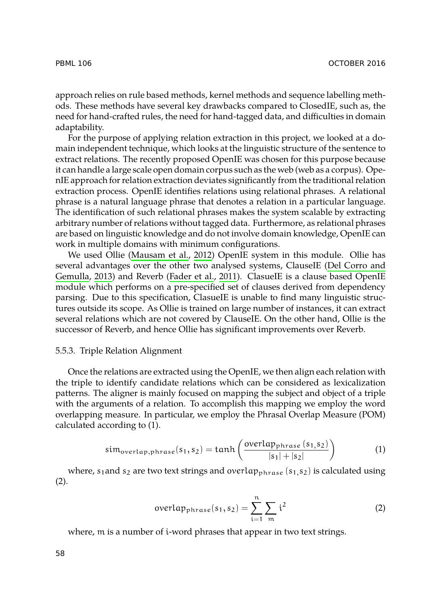approach relies on rule based methods, kernel methods and sequence labelling methods. These methods have several key drawbacks compared to ClosedIE, such as, the need for hand-crafted rules, the need for hand-tagged data, and difficulties in domain adaptability.

For the purpose of applying relation extraction in this project, we looked at a domain independent technique, which looks at the linguistic structure of the sentence to extract relations. T[he recently proposed](#page-23-6) OpenIE was chosen for this purpose because it can handle a large scale open domain corpus such as the web (web as [a corpus\). Ope](#page-22-7)[nIE appr](#page-22-7)o[ach fo](#page-22-7)r relation extr[action devia](#page-22-8)t[es sig](#page-22-8)nificantly from the traditional relation extraction process. OpenIE identifies relations using relational phrases. A relational phrase is a natural language phrase that denotes a relation in a particular language. The identification of such relational phrases makes the system scalable by extracting arbitrary number of relations without tagged data. Furthermore, as relational phrases are based on linguistic knowledge and do not involve domain knowledge, OpenIE can work in multiple domains with minimum configurations.

<span id="page-13-0"></span>We used Ollie (Mausam et al., 2012) OpenIE system in this module. Ollie has several advantages over the other two analysed systems, ClauseIE (Del Corro and Gemulla, 2013) and Reverb (Fader et al., 2011). ClasueIE is a clause based OpenIE module which performs on a pre-specified set of clauses derived from dependency parsing. Due to this specification, ClasueIE is unable to find many linguistic structures outside its scope. As Ollie is trained on large number of instances, it can extract several relations which are not covered by ClauseIE. On the other hand, Ollie is the successor of Reverb, and hence Ollie has significant improvements over Reverb.

#### 5.5.3. Triple Relation Alignment

Once the relations are extracted using the OpenIE, we then align each relation with the triple to identify candidate relations which can be considered as lexicalization patterns. The aligner is mainly focused on mapping the subject and object of a triple with the arguments of a relation. To accomplish this mapping we employ the word overlapping measure. In particular, we employ the Phrasal Overlap Measure (POM) calculated according to (1).

$$
sim_{\text{overlap},\text{phrase}}(s_1, s_2) = \tanh\left(\frac{\text{overlap}_{\text{phrase}}(s_1, s_2)}{|s_1| + |s_2|}\right) \tag{1}
$$

where,  $s_1$  and  $s_2$  are two text strings and overlap<sub>phrase</sub>  $(s_1, s_2)$  is calculated using (2).

$$
\text{overlap}_{\text{phrase}}(s_1, s_2) = \sum_{i=1}^{n} \sum_{m} i^2 \tag{2}
$$

where, m is a number of i-word phrases that appear in two text strings.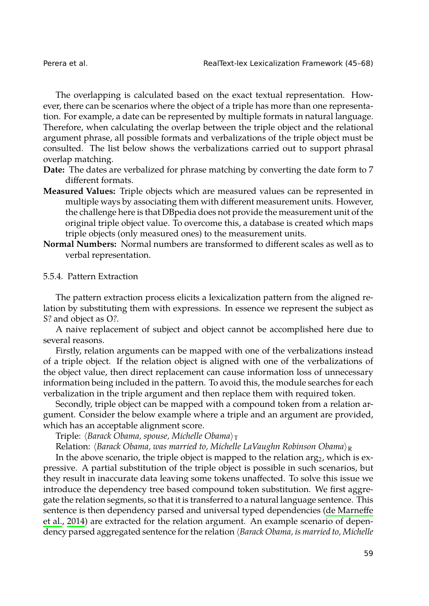The overlapping is calculated based on the exact textual representation. However, there can be scenarios where the object of a triple has more than one representation. For example, a date can be represented by multiple formats in natural language. Therefore, when calculating the overlap between the triple object and the relational argument phrase, all possible formats and verbalizations of the triple object must be consulted. The list below shows the verbalizations carried out to support phrasal overlap matching.

- **Date:** The dates are verbalized for phrase matching by converting the date form to 7 different formats.
- **Measured Values:** Triple objects which are measured values can be represented in multiple ways by associating them with different measurement units. However, the challenge here is that DBpedia does not provide the measurement unit of the original triple object value. To overcome this, a database is created which maps triple objects (only measured ones) to the measurement units.
- **Normal Numbers:** Normal numbers are transformed to different scales as well as to verbal representation.

## 5.5.4. Pattern Extraction

The pattern extraction process elicits a lexicalization pattern from the aligned relation by substituting them with expressions. In essence we represent the subject as S? and object as O?.

A naive replacement of subject and object cannot be accomplished here due to several reasons.

Firstly, relation arguments can be mapped with one of the verbalizations instead of a triple object. If the relation object is aligned with one of the verbalizations of the object value, then direct replacement can cause information loss of unnecessary information being included in the pattern. To avoid this, the module searches for each verbalization in the triple argument and then replace them with required token.

Secondly, triple object can be mapped with a compound token from a relation argument. Consider the below example where a triple and an argument a[re provided,](#page-22-9) [which has](#page-22-9) an acceptable alignment score.

Triple: *⟨Barack Obama, spouse, Michelle Obama⟩*<sup>T</sup>

Relation: *⟨Barack Obama, was married to, Michelle LaVaughn Robinson Obama⟩*<sup>R</sup>

In the above scenario, the triple object is mapped to the relation  $\arg_2$ , which is expressive. A partial substitution of the triple object is possible in such scenarios, but they result in inaccurate data leaving some tokens unaffected. To solve this issue we introduce the dependency tree based compound token substitution. We first aggregate the relation segments, so that it is transferred to a natural language sentence. This sentence is then dependency parsed and universal typed dependencies (de Marneffe et al., 2014) are extracted for the relation argument. An example scenario of dependency parsed aggregated sentence for the relation *⟨Barack Obama, is married to, Michelle*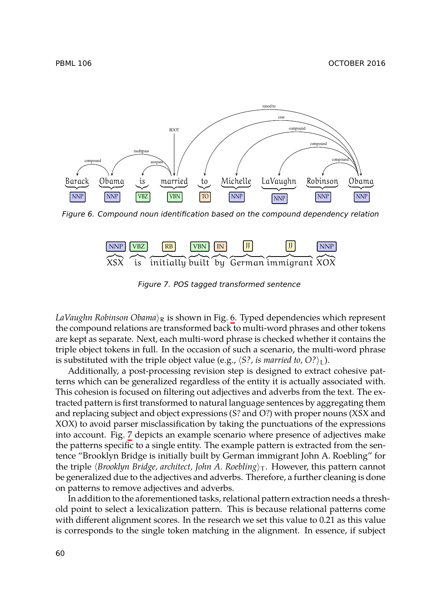<span id="page-15-0"></span>

*Figure 6. Compound noun identification base[d](#page-15-0) on the compound dependency relation*

<span id="page-15-1"></span>

*Figure 7. POS tagged transformed sentence*

*LaVaughn Robinson Obama⟩*<sup>R</sup> is shown in Fig. 6. Typed dependencies which represent the compound relations are transformed back to multi-word phrases and other tokens are kept as separa[te.](#page-15-1) Next, each multi-word phrase is checked whether it contains the triple object tokens in full. In the occasion of such a scenario, the multi-word phrase is substituted with the triple object value (e.g.,  $\langle S^2 \rangle$ , *is married to*,  $O^2$ )<sub>L</sub>).

Additionally, a post-processing revision step is designed to extract cohesive patterns which can be generalized regardless of the entity it is actually associated with. This cohesion is focused on filtering out adjectives and adverbs from the text. The extracted pattern is first transformed to natural language sentences by aggregating them and replacing subject and object expressions (S? and O?) with proper nouns (XSX and XOX) to avoid parser misclassification by taking the punctuations of the expressions into account. Fig. 7 depicts an example scenario where presence of adjectives make the patterns specific to a single entity. The example pattern is extracted from the sentence "Brooklyn Bridge is initially built by German immigrant John A. Roebling" for the triple *⟨Brooklyn Bridge, architect, John A. Roebling⟩*<sup>T</sup> . However, this pattern cannot be generalized due to the adjectives and adverbs. Therefore, a further cleaning is done on patterns to remove adjectives and adverbs.

In addition to the aforementioned tasks, relational pattern extraction needs a threshold point to select a lexicalization pattern. This is because relational patterns come with different alignment scores. In the research we set this value to 0.21 as this value is corresponds to the single token matching in the alignment. In essence, if subject

PBML 106 OCTOBER 2016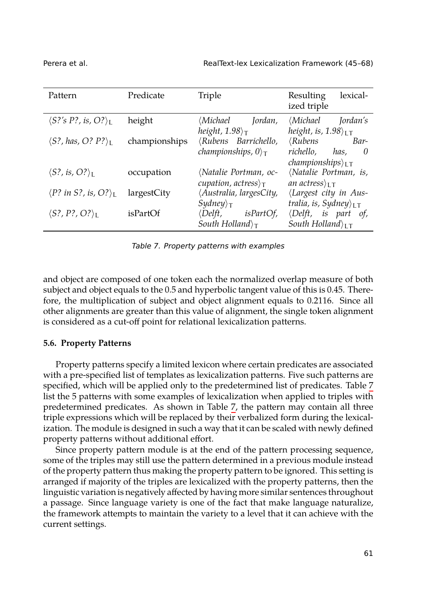| Pattern                                            | Predicate     | Triple                                                                                                                        | Resulting<br>lexical-<br>ized triple                                                                       |
|----------------------------------------------------|---------------|-------------------------------------------------------------------------------------------------------------------------------|------------------------------------------------------------------------------------------------------------|
| $\langle S? \text{'s P?}, \text{is, O?} \rangle_L$ | height        | <i>(Michael Jordan,</i>                                                                                                       | $\langle Michael \tforall$ [ordan's                                                                        |
| $\langle S?$ , has, O? $P?$ <sub>L</sub>           | championships | height, $1.98$ <sub>T</sub><br><i>(Rubens Barrichello,</i><br><i>championships</i> , $0 \rangle_T$                            | height, is, $1.98$ <sub>LT</sub><br>$\langle Rubens$<br>Bar-<br>richello.<br>has,<br>0                     |
| $\langle S$ ?, is, O? $\rangle_L$                  | occupation    | <i>(Natalie Portman, oc-</i><br>cupation, actress $\rangle_{\mathsf{T}}$                                                      | <i>championships</i> $\iota_{LT}$<br>(Natalie Portman, is,<br>an actress $\rangle_{\text{LT}}$             |
| $\langle P$ ? in S?, is, O? $\rangle_{\rm L}$      | largestCity   | Australia, largesCity,                                                                                                        | (Largest city in Aus-                                                                                      |
| $\langle S?$ , P?, O? $\rangle_L$                  | isPartOf      | $Sy$ <i>dney</i> $\rangle_{\top}$<br>$\langle \text{Delft}, \text{isPartOf}, \rangle$<br>South Holland $\rangle_{\mathsf{T}}$ | tralia, is, Sydney $\rangle$ <sub>LT</sub><br>$\langle Delft, is part of,$<br>South Holland $\rangle_{LT}$ |

<span id="page-16-1"></span>*Table 7. Property patterns with examples*

<span id="page-16-0"></span>and object are composed of one token each the normalized overlap measure of both subject and object equals to the 0.5 and hyperbolic tangent value of this is 0.45. Ther[e](#page-16-1)fore, the multiplication of subject and object alignment equals to 0.2116. Since all other alignments are greater than this value of a[lig](#page-16-1)nment, the single token alignment is considered as a cut-off point for relational lexicalization patterns.

#### **5.6. Property Patterns**

Property patterns specify a limited lexicon where certain predicates are associated with a pre-specified list of templates as lexicalization patterns. Five such patterns are specified, which will be applied only to the predetermined list of predicates. Table 7 list the 5 patterns with some examples of lexicalization when applied to triples with predetermined predicates. As shown in Table 7, the pattern may contain all three triple expressions which will be replaced by their verbalized form during the lexicalization. The module is designed in such a way that it can be scaled with newly defined property patterns without additional effort.

Since property pattern module is at the end of the pattern processing sequence, some of the triples may still use the pattern determined in a previous module instead of the property pattern thus making the property pattern to be ignored. This setting is arranged if majority of the triples are lexicalized with the property patterns, then the linguistic variation is negatively affected by having more similar sentences throughout a passage. Since language variety is one of the fact that make language naturalize, the framework attempts to maintain the variety to a level that it can achieve with the current settings.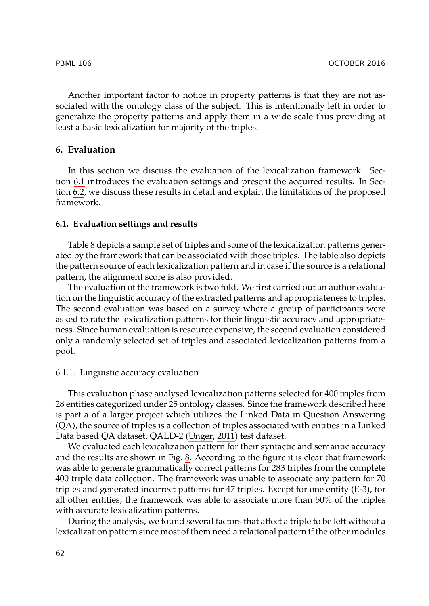<span id="page-17-0"></span>[Ano](#page-20-0)ther important factor to notice in property patterns is that they are not associated with the ontology class of the subject. This is intentionally left in order to generalize the property patterns and apply them in a wide scale thus providing at least a basic lexicalization for majority of the triples.

# **6. Eval[ua](#page-18-0)tion**

In this section we discuss the evaluation of the lexicalization framework. Section 6.1 introduces the evaluation settings and present the acquired results. In Section 6.2, we discuss these results in detail and explain the limitations of the proposed framework.

#### **6.1. Evaluation settings and results**

Table 8 depicts a sample set of triples and some of the lexicalization patterns generated by the framework that can be associated with those triples. The table also depicts the pattern source of each lexicalization pattern and in case if the source is a relational pattern, the alignment score is also provided.

The evaluation of the framework is two fold. We first carried out an author evaluation on the linguistic accuracy of the extracted patterns and appropriateness to triples. The second evaluation was based on a survey where a group of participants were asked to rate the lexicalization patterns for their linguistic accuracy and appropriateness. Since human evaluation is re[source](#page-23-7) [expen](#page-23-7)sive, the second evaluation considered only a randomly selected set of triples and associated lexicalization patterns from a pool.

#### 6.1.1. Linguistic accuracy evaluation

This evaluation phase analysed lexicalization patterns selected for 400 triples from 28 entities categorized under 25 ontology classes. Since the framework described here is part a of a larger project which utilizes the Linked Data in Question Answering (QA), the source of triples is a collection of triples associated with entities in a Linked Data based QA dataset, QALD-2 (Unger, 2011) test dataset.

We evaluated each lexicalization pattern for their syntactic and semantic accuracy and the results are shown in Fig. 8. According to the figure it is clear that framework was able to generate grammatically correct patterns for 283 triples from the complete 400 triple data collection. The framework was unable to associate any pattern for 70 triples and generated incorrect patterns for 47 triples. Except for one entity (E-3), for all other entities, the framework was able to associate more than 50% of the triples with accurate lexicalization patterns.

During the analysis, we found several factors that affect a triple to be left without a lexicalization pattern since most of them need a relational pattern if the other modules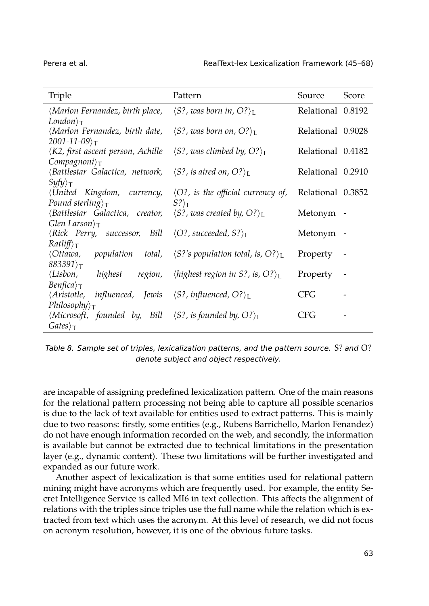| Triple                                                                                                                                   | Pattern                                                   | Source            | Score                    |
|------------------------------------------------------------------------------------------------------------------------------------------|-----------------------------------------------------------|-------------------|--------------------------|
| $\langle$ Marlon Fernandez, birth place, $\langle S$ ?, was born in, O? $\rangle_L$                                                      |                                                           | Relational 0.8192 |                          |
| $London\rangle_T$                                                                                                                        |                                                           |                   |                          |
| $\langle$ Marlon Fernandez, birth date, $\langle S$ ?, was born on, O? $\rangle_L$                                                       |                                                           | Relational 0.9028 |                          |
| $2001 - 11 - 09$ <sub>T</sub>                                                                                                            |                                                           |                   |                          |
| $\langle K2, \text{first ascent person}, \text{Achille} \quad \langle S? \text{, was climbed by}, O? \rangle_L$<br>$Compggnoni\rangle_T$ |                                                           | Relational 0.4182 |                          |
| $\langle$ Battlestar Galactica, network, $\langle S^2 \rangle$ is aired on, O? $\rangle_I$                                               |                                                           | Relational 0.2910 |                          |
| $Syfy$ <sub>T</sub>                                                                                                                      |                                                           |                   |                          |
| $\langle$ United Kingdom, currency, $\langle$ O?, is the official currency of,                                                           |                                                           | Relational 0.3852 |                          |
| Pound sterling $\tau$                                                                                                                    | $S?$ <sub>L</sub>                                         |                   |                          |
| $\langle$ Battlestar Galactica, creator, $\langle S^2 \rangle$ , was created by, O? $\rangle_L$                                          |                                                           | Metonym -         |                          |
| Glen Larson $\tau$                                                                                                                       |                                                           |                   |                          |
| $\langle Rick$ Perry, successor, Bill $\langle O?$ , succeeded, S? $\rangle_L$                                                           |                                                           | Metonym           | $\overline{\phantom{a}}$ |
| $Ratliff\rangle_{\mathsf{T}}$                                                                                                            |                                                           |                   |                          |
| $\langle$ Ottawa, population total, $\langle S$ ?'s population total, is, O? $\rangle_L$                                                 |                                                           | Property          | $\overline{\phantom{a}}$ |
| $883391$ <sub>T</sub>                                                                                                                    |                                                           |                   |                          |
| ∖Lisbon,<br>highest<br>region,                                                                                                           | <i>lighest region in S?, is, O?</i> $\angle$ <sub>L</sub> | Property          |                          |
| $Benfica\rangle_T$                                                                                                                       |                                                           |                   |                          |
| $\langle Aristotle, influenceed, Iewis \langle S? , influenceed, O? \rangle_L$                                                           |                                                           | CFG               |                          |
| $Philosophy\$ <sub>T</sub>                                                                                                               |                                                           |                   |                          |
| $\langle Microsoft,$ founded by, Bill $\langle S?$ , is founded by, O? $\rangle_L$                                                       |                                                           | CFG               |                          |
| $Gates\rangle_T$                                                                                                                         |                                                           |                   |                          |

<span id="page-18-0"></span>*Table 8. Sample set of triples, lexicalization patterns, and the pattern source.* S? *and* O? *denote subject and object respectively.*

are incapable of assigning predefined lexicalization pattern. One of the main reasons for the relational pattern processing not being able to capture all possible scenarios is due to the lack of text available for entities used to extract patterns. This is mainly due to two reasons: firstly, some entities (e.g., Rubens Barrichello, Marlon Fenandez) do not have enough information recorded on the web, and secondly, the information is available but cannot be extracted due to technical limitations in the presentation layer (e.g., dynamic content). These two limitations will be further investigated and expanded as our future work.

Another aspect of lexicalization is that some entities used for relational pattern mining might have acronyms which are frequently used. For example, the entity Secret Intelligence Service is called MI6 in text collection. This affects the alignment of relations with the triples since triples use the full name while the relation which is extracted from text which uses the acronym. At this level of research, we did not focus on acronym resolution, however, it is one of the obvious future tasks.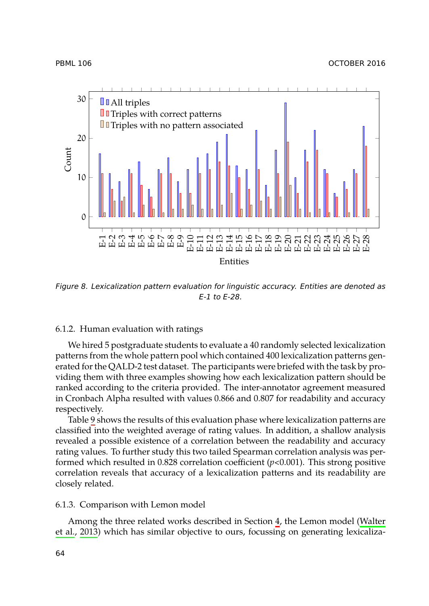

PBML 106 OCTOBER 2016



*Figure 8. Lexicalization pattern evaluation for linguistic accuracy. Entities are denoted as E-1 to E-28.*

## 6.1.2. H[um](#page-20-1)an evaluation with ratings

We hired 5 postgraduate students to evaluate a 40 randomly selected lexicalization patterns from the whole pattern pool which contained 400 lexicalization patterns generated for the QALD-2 test dataset. The participants were briefed with the task by providing them with three examples showing how each lexicalization pattern should be ranked according to the criteria provided. The inter-annotator agreement measured in Cronbach Alpha resulted with values 0.866 and 0.807 for readability and accuracy respectively.

Table 9 shows the results of this evaluation phase wh[er](#page-3-2)e lexicalization patte[rns are](#page-23-1) [classified in](#page-23-1)to the weighted average of rating values. In addition, a shallow analysis revealed a possible existence of a correlation between the readability and accuracy rating values. To further study this two tailed Spearman correlation analysis was performed which resulted in 0.828 correlation coefficient (*p*<0.001). This strong positive correlation reveals that accuracy of a lexicalization patterns and its readability are closely related.

### 6.1.3. Comparison with Lemon model

Among the three related works described in Section 4, the Lemon model (Walter et al., 2013) which has similar objective to ours, focussing on generating lexicaliza-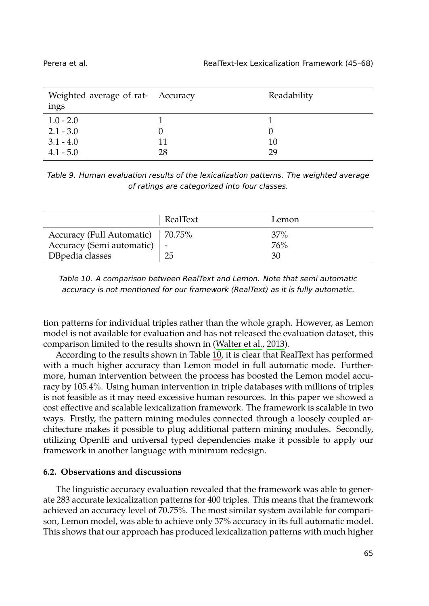<span id="page-20-1"></span>

| Weighted average of rat- Accuracy<br>ings |    | Readability |
|-------------------------------------------|----|-------------|
| $1.0 - 2.0$                               |    |             |
| $2.1 - 3.0$                               |    |             |
| $3.1 - 4.0$                               |    | 10          |
| $4.1 - 5.0$                               | 28 | 29          |

*Table 9. Human evaluation results of the lexicalization patterns. The weighted average of ratings are categorized into four classes.*

|                                    | RealText | Lemon |
|------------------------------------|----------|-------|
| Accuracy (Full Automatic)   70.75% |          | 37%   |
| Accuracy (Semi automatic)          |          | 76%   |
| DBpedia classes                    | 25       | 30    |

*Table 10. A comparison between RealText and Lemon. Note that semi automatic accuracy is not mentioned for our framework (RealText) as it is fully automatic.*

tion patterns for individual triples rather than the whole graph. However, as Lemon model is not available for evaluation and has not released the evaluation dataset, this comparison limited to the results shown in (Walter et al., 2013).

<span id="page-20-0"></span>According to the results shown in Table 10, it is clear that RealText has performed with a much higher accuracy than Lemon model in full automatic mode. Furthermore, human intervention between the process has boosted the Lemon model accuracy by 105.4%. Using human intervention in triple databases with millions of triples is not feasible as it may need excessive human resources. In this paper we showed a cost effective and scalable lexicalization framework. The framework is scalable in two ways. Firstly, the pattern mining modules connected through a loosely coupled architecture makes it possible to plug additional pattern mining modules. Secondly, utilizing OpenIE and universal typed dependencies make it possible to apply our framework in another language with minimum redesign.

### **6.2. Observations and discussions**

The linguistic accuracy evaluation revealed that the framework was able to generate 283 accurate lexicalization patterns for 400 triples. This means that the framework achieved an accuracy level of 70.75%. The most similar system available for comparison, Lemon model, was able to achieve only 37% accuracy in its full automatic model. This shows that our approach has produced lexicalization patterns with much higher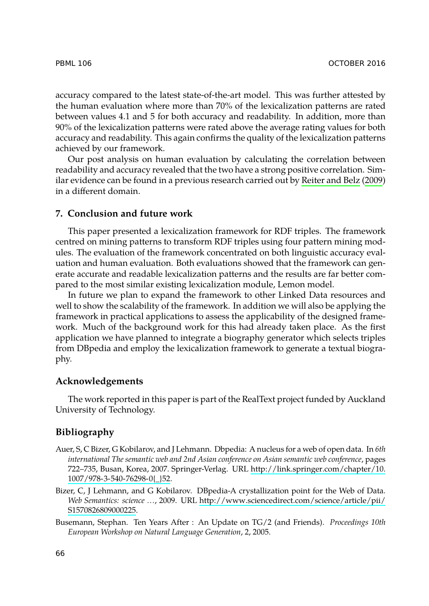<span id="page-21-2"></span>accuracy compared to the latest state-of-the-art model. This was further attested by the human evaluation where more than 70% of the lexicalization patterns are rated between values 4.1 and 5 for both accuracy and readability. In addition, more than 90% of the lexicalization patterns were rated above the average rating values for both accuracy and readability. This again confirms the quality of the lexicalization patterns achieved by our framework.

Our post analysis on human evaluation by calculating the correlation between readability and accuracy revealed that the two have a strong positive correlation. Similar evidence can be found in a previous research carried out by Reiter and Belz (2009) in a different domain.

# **7. Conclusion and future work**

This paper presented a lexicalization framework for RDF triples. The framework centred on mining patterns to transform RDF triples using four pattern mining modules. The evaluation of the framework concentrated on both linguistic accuracy evaluation and human evaluation. Both evaluations showed that the framework can generate accurate and readable lexicalization patterns and the results are far better compared to the most similar existing lexicalization module, Lemon model.

In future we plan to expand the framework to other Linked Data resources and well to show the scalability of the framework. In addition we will also be applying the framework in practical applications to assess the applicability of the designed framework. Much of the background work for this had already taken place. As the first application we have planned to integrate a biography generator which selects triples from DBpedia and employ the lexicalization framework to generate a textual biography.

### <span id="page-21-1"></span><span id="page-21-0"></span>**Ac[knowledgements](http://link.springer.com/chapter/10.1007/978-3-540-76298-0{_}52)**

The work reported in this paper is [part of the RealText project funded by Auckland](http://www.sciencedirect.com/science/article/pii/S1570826809000225) Un[iversity of Techno](http://www.sciencedirect.com/science/article/pii/S1570826809000225)logy.

# <span id="page-21-3"></span>**Bibliography**

- Auer, S, C Bizer, G Kobilarov, and J Lehmann. Dbpedia: A nucleus for a web of open data. In *6th international The semantic web and 2nd Asian conference on Asian semantic web conference*, pages 722–735, Busan, Korea, 2007. Springer-Verlag. URL http://link.springer.com/chapter/10. 1007/978-3-540-76298-0{\_}52.
- Bizer, C, J Lehmann, and G Kobilarov. DBpedia-A crystallization point for the Web of Data. *Web Semantics: science …*, 2009. URL http://www.sciencedirect.com/science/article/pii/ S1570826809000225.
- Busemann, Stephan. Ten Years After : An Update on TG/2 (and Friends). *Proceedings 10th European Workshop on Natural Language Generation*, 2, 2005.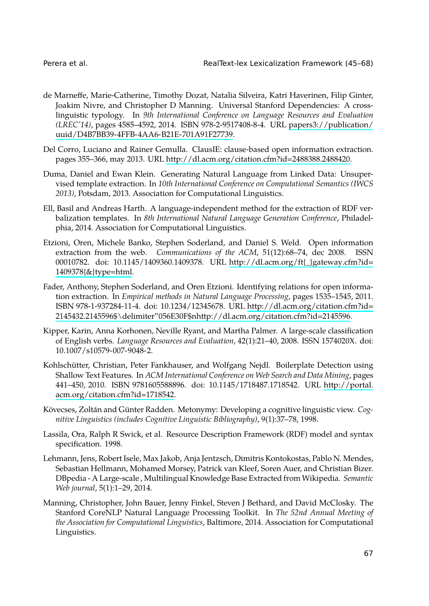<span id="page-22-9"></span><span id="page-22-7"></span><span id="page-22-1"></span>

- <span id="page-22-2"></span>de Marneffe, Marie-Catherine, Timothy Dozat, Natalia Silveira, Katri Haverinen, Filip Ginter, Joakim Nivre, and Christopher D Manning. Universal Stanford Dependencies: A crosslinguistic typology. In *9th International Conference on Language Resources and Evaluation (LREC'14)*, pages 4585–4592, 2014. ISBN 978-2-9517408-8-4. URL papers3://publication/ uuid/D4B7BB39-4FFB-4AA6-B21E-701A91F27739.
- <span id="page-22-5"></span>Del Corro, Luciano and Rainer Gemulla. ClausIE: clause-based open information extraction. pages 355–366, may 2013. URL http://dl.acm.or[g/citation.cfm?id=2488388.2488420.](http://dl.acm.org/ft{_}gateway.cfm?id=1409378{&}type=html)
- <span id="page-22-8"></span>Du[ma, Daniel and Ewan](http://dl.acm.org/ft{_}gateway.cfm?id=1409378{&}type=html) Klein. Generating Natural Language from Linked Data: Unsupervised template extraction. In *10th International Conference on Computational Semantics (IWCS 2013)*, Potsdam, 2013. Association for Computational Linguistics.
- Ell, Basil and Andreas Harth. A language-independent [method for the extraction of RDF ver](http://dl.acm.org/citation.cfm?id=2145432.2145596$\delimiter "056E30F $nhttp://dl.acm.org/citation.cfm?id=2145596)balization templates. In *[8th International Natural Language Generation Conference](http://dl.acm.org/citation.cfm?id=2145432.2145596$\delimiter "056E30F $nhttp://dl.acm.org/citation.cfm?id=2145596)*, Philadelphia, 2014. Association for Computational Linguistics.
- <span id="page-22-4"></span>Etzioni, Oren, Michele Banko, Stephen Soderland, and Daniel S. Weld. Open information extraction from the web. *Communications of the ACM*, 51(12):68–74, dec 2008. ISSN 00010782. doi: 10.1145/1409360.1409378. URL http://dl.acm.org/ft{\_}gateway.cfm?id= 1409378{&}type=html.
- <span id="page-22-3"></span>Fader, Anthony, Stephen Soderland, and Oren Etzioni. Identifying relations for [open informa](http://portal.acm.org/citation.cfm?id=1718542)[tion extraction. In](http://portal.acm.org/citation.cfm?id=1718542) *Empirical methods in Natural Language Processing*, pages 1535–1545, 2011. ISBN 978-1-937284-11-4. doi: 10.1234/12345678. URL http://dl.acm.org/citation.cfm?id= 2145432.2145596\$\delimiter"056E30F\$nhttp://dl.acm.org/citation.cfm?id=2145596.
- <span id="page-22-0"></span>Kipper, Karin, Anna Korhonen, Neville Ryant, and Martha Palmer. A large-scale classification of English verbs. *Language Resources and Evaluation*, 42(1):21–40, 2008. ISSN 1574020X. doi: 10.1007/s10579-007-9048-2.
- Kohlschütter, Christian, Peter Fankhauser, and Wolfgang Nejdl. Boilerplate Detection using Shallow Text Features. In *ACM International Conference on Web Search and Data Mining*, pages 441–450, 2010. ISBN 9781605588896. doi: 10.1145/1718487.1718542. URL http://portal. acm.org/citation.cfm?id=1718542.
- <span id="page-22-6"></span>Kövecses, Zoltán and Günter Radden. Metonymy: Developing a cognitive linguistic view. *Cognitive Linguistics (includes Cognitive Linguistic Bibliography)*, 9(1):37–78, 1998.
- Lassila, Ora, Ralph R Swick, et al. Resource Description Framework (RDF) model and syntax specification. 1998.
- Lehmann, Jens, Robert Isele, Max Jakob, Anja Jentzsch, Dimitris Kontokostas, Pablo N. Mendes, Sebastian Hellmann, Mohamed Morsey, Patrick van Kleef, Soren Auer, and Christian Bizer. DBpedia - A Large-scale , Multilingual Knowledge Base Extracted from Wikipedia. *Semantic Web journal*, 5(1):1–29, 2014.
- Manning, Christopher, John Bauer, Jenny Finkel, Steven J Bethard, and David McClosky. The Stanford CoreNLP Natural Language Processing Toolkit. In *The 52nd Annual Meeting of the Association for Computational Linguistics*, Baltimore, 2014. Association for Computational Linguistics.